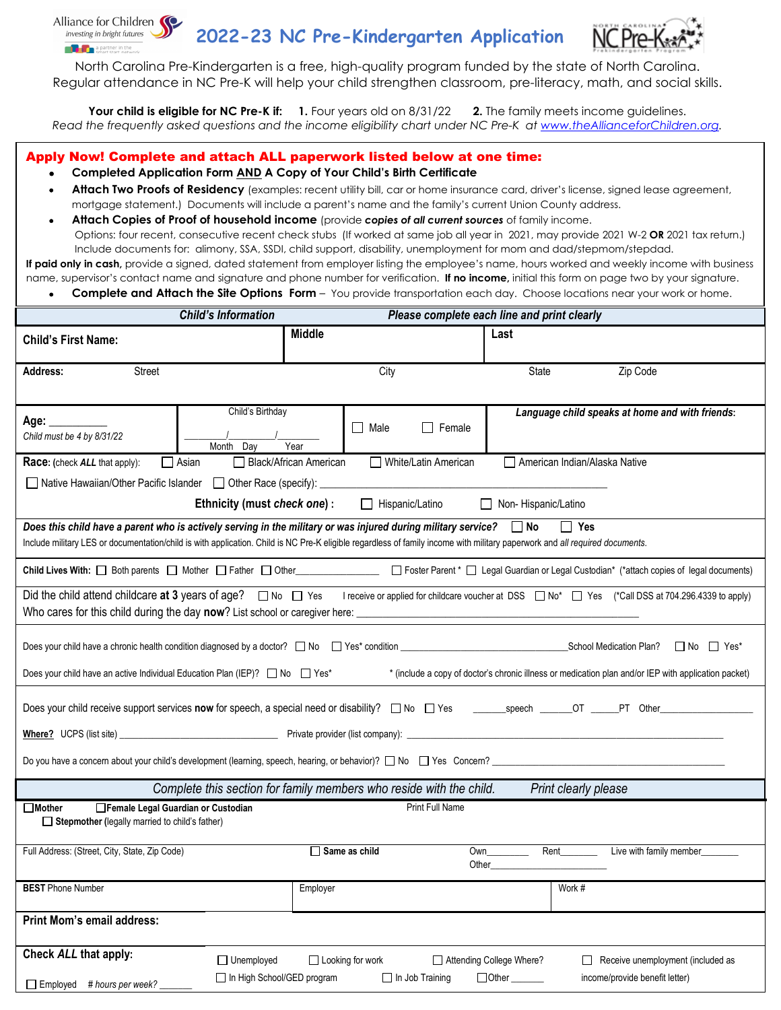

**2022-23 NC Pre-Kindergarten Application**



North Carolina Pre-Kindergarten is a free, high-quality program funded by the state of North Carolina. Regular attendance in NC Pre-K will help your child strengthen classroom, pre-literacy, math, and social skills.

**Your child is eligible for NC Pre-K if: 1.** Four years old on 8/31/22 **2.** The family meets income guidelines. *Read the frequently asked questions and the income eligibility chart under NC Pre-K at [www.theAllianceforChildren.org.](http://www.theallianceforchildren.org/)*

## Apply Now! Complete and attach ALL paperwork listed below at one time:

## • **Completed Application Form AND A Copy of Your Child's Birth Certificate**

- **Attach Two Proofs of Residency** (examples: recent utility bill, car or home insurance card, driver's license, signed lease agreement, mortgage statement.) Documents will include a parent's name and the family's current Union County address.
- **Attach Copies of Proof of household income** (provide *copies of all current sources* of family income.

Options: four recent, consecutive recent check stubs (If worked at same job all year in 2021, may provide 2021 W-2 **OR** 2021 tax return.) Include documents for: alimony, SSA, SSDI, child support, disability, unemployment for mom and dad/stepmom/stepdad.

If paid only in cash, provide a signed, dated statement from employer listing the employee's name, hours worked and weekly income with business name, supervisor's contact name and signature and phone number for verification. **If no income,** initial this form on page two by your signature.

• **Complete and Attach the Site Options Form** – You provide transportation each day. Choose locations near your work or home.

|                                                                                                                                                                                                                                                                                                                      | <b>Child's Information</b><br>Please complete each line and print clearly |               |                      |                        |                               |        |                                                 |  |
|----------------------------------------------------------------------------------------------------------------------------------------------------------------------------------------------------------------------------------------------------------------------------------------------------------------------|---------------------------------------------------------------------------|---------------|----------------------|------------------------|-------------------------------|--------|-------------------------------------------------|--|
| <b>Child's First Name:</b>                                                                                                                                                                                                                                                                                           |                                                                           | <b>Middle</b> |                      |                        | Last                          |        |                                                 |  |
| Street<br><b>Address:</b>                                                                                                                                                                                                                                                                                            |                                                                           |               | City                 |                        | State                         |        | Zip Code                                        |  |
| Age: ________<br>Child must be 4 by 8/31/22                                                                                                                                                                                                                                                                          | Child's Birthday<br>Month Day                                             | Year          | Nale                 | $\Box$ Female          |                               |        | Language child speaks at home and with friends: |  |
| $\Box$ Asian<br><b>Black/African American</b><br>White/Latin American<br>American Indian/Alaska Native<br>Race: (check ALL that apply):                                                                                                                                                                              |                                                                           |               |                      |                        |                               |        |                                                 |  |
| □ Native Hawaiian/Other Pacific Islander □ Other Race (specify):                                                                                                                                                                                                                                                     |                                                                           |               |                      |                        |                               |        |                                                 |  |
| Ethnicity (must check one) :<br>Non-Hispanic/Latino<br>$\Box$ Hispanic/Latino                                                                                                                                                                                                                                        |                                                                           |               |                      |                        |                               |        |                                                 |  |
| Does this child have a parent who is actively serving in the military or was injured during military service? $\Box$ No<br>$\Box$ Yes<br>Include military LES or documentation/child is with application. Child is NC Pre-K eligible regardless of family income with military paperwork and all required documents. |                                                                           |               |                      |                        |                               |        |                                                 |  |
| Child Lives With: Soth parents Subseter Scholars (Scholars Scholars Scholars Scholars Scholars Scholars Scholars Scholars Scholars Scholars (*attach copies of legal documents)                                                                                                                                      |                                                                           |               |                      |                        |                               |        |                                                 |  |
| Did the child attend childcare at 3 years of age? $\Box$ No $\Box$ Yes<br>I receive or applied for childcare voucher at DSS □ No* □ Yes (*Call DSS at 704.296.4339 to apply)                                                                                                                                         |                                                                           |               |                      |                        |                               |        |                                                 |  |
|                                                                                                                                                                                                                                                                                                                      |                                                                           |               |                      |                        |                               |        |                                                 |  |
| Does your child have an active Individual Education Plan (IEP)? □ No □ Yes*<br>* (include a copy of doctor's chronic illness or medication plan and/or IEP with application packet)                                                                                                                                  |                                                                           |               |                      |                        |                               |        |                                                 |  |
|                                                                                                                                                                                                                                                                                                                      |                                                                           |               |                      |                        |                               |        |                                                 |  |
|                                                                                                                                                                                                                                                                                                                      |                                                                           |               |                      |                        |                               |        |                                                 |  |
| Do you have a concern about your child's development (learning, speech, hearing, or behavior)? No Nes Concern? Ness Concern?                                                                                                                                                                                         |                                                                           |               |                      |                        |                               |        |                                                 |  |
| Complete this section for family members who reside with the child.<br>Print clearly please                                                                                                                                                                                                                          |                                                                           |               |                      |                        |                               |        |                                                 |  |
| Print Full Name<br>Female Legal Guardian or Custodian<br><b>■Mother</b><br>$\Box$ Stepmother (legally married to child's father)                                                                                                                                                                                     |                                                                           |               |                      |                        |                               |        |                                                 |  |
| Full Address: (Street, City, State, Zip Code)                                                                                                                                                                                                                                                                        |                                                                           |               | $\Box$ Same as child |                        | Own<br>Other                  | Rent   | Live with family member                         |  |
| <b>BEST</b> Phone Number                                                                                                                                                                                                                                                                                             |                                                                           | Employer      |                      |                        |                               | Work # |                                                 |  |
| <b>Print Mom's email address:</b>                                                                                                                                                                                                                                                                                    |                                                                           |               |                      |                        |                               |        |                                                 |  |
| Check ALL that apply:                                                                                                                                                                                                                                                                                                | $\Box$ Unemployed                                                         |               | □ Looking for work   |                        | Attending College Where?      |        | Receive unemployment (included as               |  |
| # hours per week?<br>□ Employed                                                                                                                                                                                                                                                                                      | In High School/GED program                                                |               |                      | $\Box$ In Job Training | $\Box$ Other $\_\_\_\_\_\_\_$ |        | income/provide benefit letter)                  |  |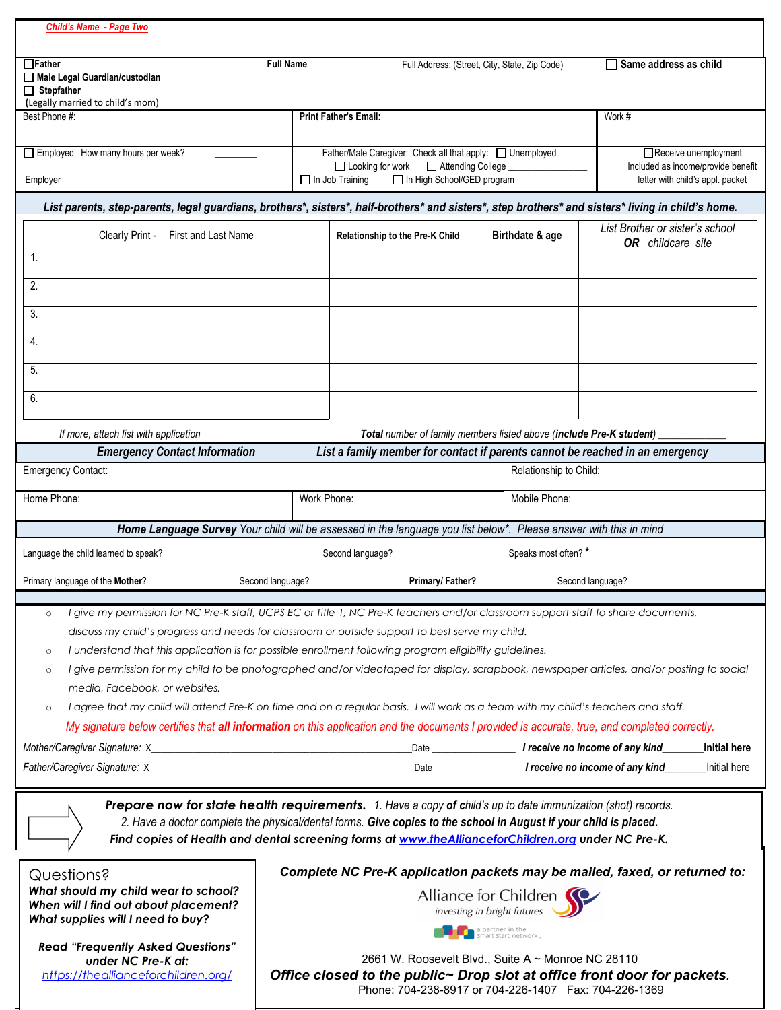| <b>Child's Name - Page Two</b>                                                                                                                                                                                                    |                                                                                                                                |                                 |                            |                                                                     |                                                                               |  |
|-----------------------------------------------------------------------------------------------------------------------------------------------------------------------------------------------------------------------------------|--------------------------------------------------------------------------------------------------------------------------------|---------------------------------|----------------------------|---------------------------------------------------------------------|-------------------------------------------------------------------------------|--|
| $\Box$ Father<br><b>Full Name</b>                                                                                                                                                                                                 |                                                                                                                                |                                 |                            | Full Address: (Street, City, State, Zip Code)                       | $\Box$ Same address as child                                                  |  |
| Male Legal Guardian/custodian                                                                                                                                                                                                     |                                                                                                                                |                                 |                            |                                                                     |                                                                               |  |
| $\Box$ Stepfather<br>(Legally married to child's mom)                                                                                                                                                                             |                                                                                                                                |                                 |                            |                                                                     |                                                                               |  |
| Best Phone #:                                                                                                                                                                                                                     |                                                                                                                                | <b>Print Father's Email:</b>    |                            |                                                                     | Work #                                                                        |  |
|                                                                                                                                                                                                                                   |                                                                                                                                |                                 |                            |                                                                     |                                                                               |  |
| Employed How many hours per week?                                                                                                                                                                                                 | Father/Male Caregiver: Check all that apply: Unemployed<br>$\Box$ Looking for work<br>Attending College _                      |                                 |                            | Receive unemployment<br>Included as income/provide benefit          |                                                                               |  |
| Employer_                                                                                                                                                                                                                         |                                                                                                                                | $\Box$ In Job Training          | In High School/GED program |                                                                     | letter with child's appl. packet                                              |  |
| List parents, step-parents, legal guardians, brothers*, sisters*, half-brothers* and sisters*, step brothers* and sisters* living in child's home.                                                                                |                                                                                                                                |                                 |                            |                                                                     |                                                                               |  |
| Clearly Print -<br>First and Last Name                                                                                                                                                                                            |                                                                                                                                | Relationship to the Pre-K Child |                            | Birthdate & age                                                     | List Brother or sister's school<br>OR childcare site                          |  |
| 1.                                                                                                                                                                                                                                |                                                                                                                                |                                 |                            |                                                                     |                                                                               |  |
| 2.                                                                                                                                                                                                                                |                                                                                                                                |                                 |                            |                                                                     |                                                                               |  |
|                                                                                                                                                                                                                                   |                                                                                                                                |                                 |                            |                                                                     |                                                                               |  |
| 3.                                                                                                                                                                                                                                |                                                                                                                                |                                 |                            |                                                                     |                                                                               |  |
| 4.                                                                                                                                                                                                                                |                                                                                                                                |                                 |                            |                                                                     |                                                                               |  |
| 5.                                                                                                                                                                                                                                |                                                                                                                                |                                 |                            |                                                                     |                                                                               |  |
|                                                                                                                                                                                                                                   |                                                                                                                                |                                 |                            |                                                                     |                                                                               |  |
| 6.                                                                                                                                                                                                                                |                                                                                                                                |                                 |                            |                                                                     |                                                                               |  |
| If more, attach list with application                                                                                                                                                                                             |                                                                                                                                |                                 |                            | Total number of family members listed above (include Pre-K student) |                                                                               |  |
| <b>Emergency Contact Information</b>                                                                                                                                                                                              |                                                                                                                                |                                 |                            |                                                                     | List a family member for contact if parents cannot be reached in an emergency |  |
| <b>Emergency Contact:</b>                                                                                                                                                                                                         |                                                                                                                                |                                 |                            | Relationship to Child:                                              |                                                                               |  |
| Home Phone:                                                                                                                                                                                                                       | Work Phone:                                                                                                                    |                                 |                            | Mobile Phone:                                                       |                                                                               |  |
| Home Language Survey Your child will be assessed in the language you list below*. Please answer with this in mind                                                                                                                 |                                                                                                                                |                                 |                            |                                                                     |                                                                               |  |
| Language the child learned to speak?                                                                                                                                                                                              |                                                                                                                                | Second language?                |                            | Speaks most often?*                                                 |                                                                               |  |
| Primary language of the Mother?                                                                                                                                                                                                   | Second language?                                                                                                               |                                 | Primary/Father?            |                                                                     | Second language?                                                              |  |
| I give my permission for NC Pre-K staff, UCPS EC or Title 1, NC Pre-K teachers and/or classroom support staff to share documents,<br>$\circ$                                                                                      |                                                                                                                                |                                 |                            |                                                                     |                                                                               |  |
|                                                                                                                                                                                                                                   |                                                                                                                                |                                 |                            |                                                                     |                                                                               |  |
| discuss my child's progress and needs for classroom or outside support to best serve my child.<br>I understand that this application is for possible enrollment following program eligibility guidelines.<br>$\circ$              |                                                                                                                                |                                 |                            |                                                                     |                                                                               |  |
| I give permission for my child to be photographed and/or videotaped for display, scrapbook, newspaper articles, and/or posting to social<br>$\circ$                                                                               |                                                                                                                                |                                 |                            |                                                                     |                                                                               |  |
| media, Facebook, or websites.                                                                                                                                                                                                     |                                                                                                                                |                                 |                            |                                                                     |                                                                               |  |
| I agree that my child will attend Pre-K on time and on a regular basis. I will work as a team with my child's teachers and staff.<br>$\circ$                                                                                      |                                                                                                                                |                                 |                            |                                                                     |                                                                               |  |
| My signature below certifies that all information on this application and the documents I provided is accurate, true, and completed correctly.                                                                                    |                                                                                                                                |                                 |                            |                                                                     |                                                                               |  |
|                                                                                                                                                                                                                                   |                                                                                                                                |                                 |                            |                                                                     | <b>Initial here</b>                                                           |  |
|                                                                                                                                                                                                                                   |                                                                                                                                |                                 |                            |                                                                     | Initial here                                                                  |  |
|                                                                                                                                                                                                                                   |                                                                                                                                |                                 |                            |                                                                     |                                                                               |  |
| Prepare now for state health requirements. 1. Have a copy of child's up to date immunization (shot) records.<br>2. Have a doctor complete the physical/dental forms. Give copies to the school in August if your child is placed. |                                                                                                                                |                                 |                            |                                                                     |                                                                               |  |
| Find copies of Health and dental screening forms at www.theAllianceforChildren.org under NC Pre-K.                                                                                                                                |                                                                                                                                |                                 |                            |                                                                     |                                                                               |  |
|                                                                                                                                                                                                                                   |                                                                                                                                |                                 |                            |                                                                     |                                                                               |  |
| Complete NC Pre-K application packets may be mailed, faxed, or returned to:<br>Questions?<br>What should my child wear to school?                                                                                                 |                                                                                                                                |                                 |                            |                                                                     |                                                                               |  |
| When will I find out about placement?                                                                                                                                                                                             | Alliance for Children<br>investing in bright futures                                                                           |                                 |                            |                                                                     |                                                                               |  |
| What supplies will I need to buy?                                                                                                                                                                                                 |                                                                                                                                |                                 |                            | a partner in the smart start network.                               |                                                                               |  |
| <b>Read "Frequently Asked Questions"</b>                                                                                                                                                                                          |                                                                                                                                |                                 |                            |                                                                     |                                                                               |  |
| under NC Pre-K at:<br>https://theallianceforchildren.org/                                                                                                                                                                         | 2661 W. Roosevelt Blvd., Suite A ~ Monroe NC 28110<br>Office closed to the public~ Drop slot at office front door for packets. |                                 |                            |                                                                     |                                                                               |  |

Phone: 704-238-8917 or 704-226-1407 Fax: 704-226-1369